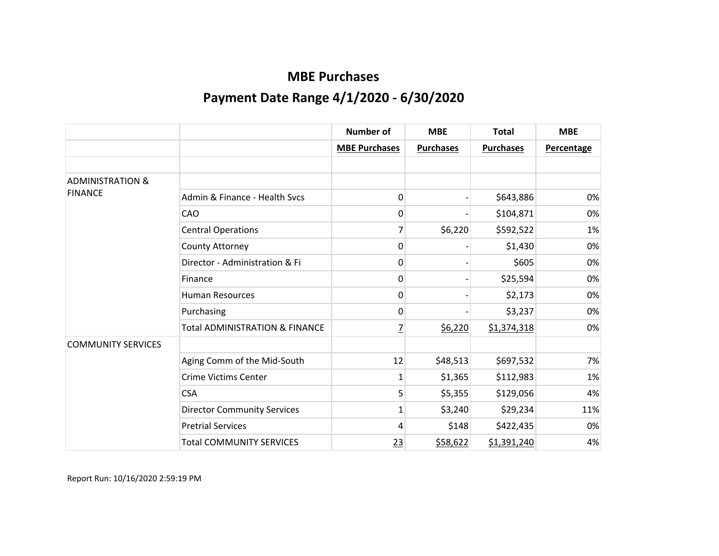|                             |                                           | <b>Number of</b>     | <b>MBE</b>       | <b>Total</b>     | <b>MBE</b>        |
|-----------------------------|-------------------------------------------|----------------------|------------------|------------------|-------------------|
|                             |                                           | <b>MBE Purchases</b> | <b>Purchases</b> | <b>Purchases</b> | <b>Percentage</b> |
|                             |                                           |                      |                  |                  |                   |
| <b>ADMINISTRATION &amp;</b> |                                           |                      |                  |                  |                   |
| <b>FINANCE</b>              | Admin & Finance - Health Sycs             | 0                    |                  | \$643,886        | 0%                |
|                             | CAO                                       | 0                    |                  | \$104,871        | 0%                |
|                             | <b>Central Operations</b>                 |                      | \$6,220          | \$592,522        | 1%                |
|                             | County Attorney                           | 0                    |                  | \$1,430          | 0%                |
|                             | Director - Administration & Fi            | 0                    |                  | \$605            | 0%                |
|                             | Finance                                   | 0                    |                  | \$25,594         | 0%                |
|                             | <b>Human Resources</b>                    | 0                    |                  | \$2,173          | 0%                |
|                             | Purchasing                                | 0                    |                  | \$3,237          | 0%                |
|                             | <b>Total ADMINISTRATION &amp; FINANCE</b> | 7                    | \$6,220          | \$1,374,318      | 0%                |
| <b>COMMUNITY SERVICES</b>   |                                           |                      |                  |                  |                   |
|                             | Aging Comm of the Mid-South               | 12                   | \$48,513         | \$697,532        | 7%                |
|                             | <b>Crime Victims Center</b>               | 1                    | \$1,365          | \$112,983        | 1%                |
|                             | <b>CSA</b>                                | 5                    | \$5,355          | \$129,056        | 4%                |
|                             | <b>Director Community Services</b>        | 1                    | \$3,240          | \$29,234         | 11%               |
|                             | <b>Pretrial Services</b>                  | 4                    | \$148            | \$422,435        | 0%                |
|                             | <b>Total COMMUNITY SERVICES</b>           | 23                   | \$58,622         | \$1,391,240      | 4%                |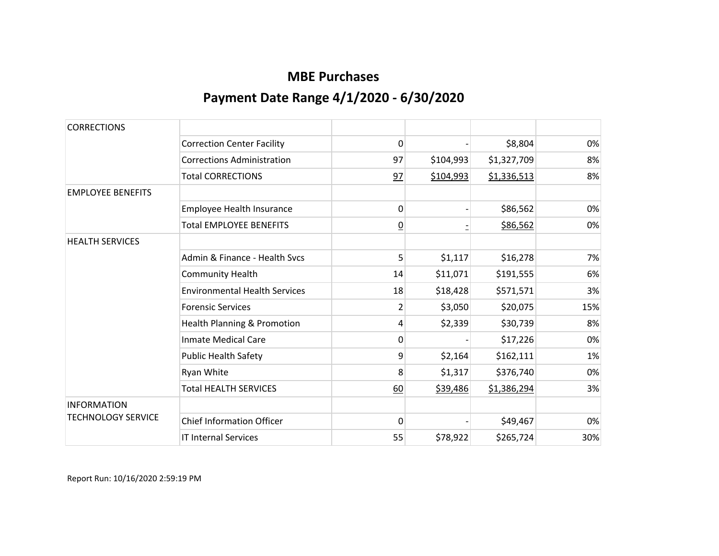| <b>CORRECTIONS</b>        |                                      |                |           |             |     |
|---------------------------|--------------------------------------|----------------|-----------|-------------|-----|
|                           | <b>Correction Center Facility</b>    | 0              |           | \$8,804     | 0%  |
|                           | <b>Corrections Administration</b>    | 97             | \$104,993 | \$1,327,709 | 8%  |
|                           | <b>Total CORRECTIONS</b>             | 97             | \$104,993 | \$1,336,513 | 8%  |
| <b>EMPLOYEE BENEFITS</b>  |                                      |                |           |             |     |
|                           | Employee Health Insurance            | 0              |           | \$86,562    | 0%  |
|                           | <b>Total EMPLOYEE BENEFITS</b>       | $\overline{0}$ |           | \$86,562    | 0%  |
| <b>HEALTH SERVICES</b>    |                                      |                |           |             |     |
|                           | Admin & Finance - Health Sycs        | 5              | \$1,117   | \$16,278    | 7%  |
|                           | <b>Community Health</b>              | 14             | \$11,071  | \$191,555   | 6%  |
|                           | <b>Environmental Health Services</b> | 18             | \$18,428  | \$571,571   | 3%  |
|                           | <b>Forensic Services</b>             | $\overline{2}$ | \$3,050   | \$20,075    | 15% |
|                           | Health Planning & Promotion          | 4              | \$2,339   | \$30,739    | 8%  |
|                           | <b>Inmate Medical Care</b>           | 0              |           | \$17,226    | 0%  |
|                           | <b>Public Health Safety</b>          | 9              | \$2,164   | \$162,111   | 1%  |
|                           | Ryan White                           | 8              | \$1,317   | \$376,740   | 0%  |
|                           | <b>Total HEALTH SERVICES</b>         | 60             | \$39,486  | \$1,386,294 | 3%  |
| <b>INFORMATION</b>        |                                      |                |           |             |     |
| <b>TECHNOLOGY SERVICE</b> | <b>Chief Information Officer</b>     | $\Omega$       |           | \$49,467    | 0%  |
|                           | <b>IT Internal Services</b>          | 55             | \$78,922  | \$265,724   | 30% |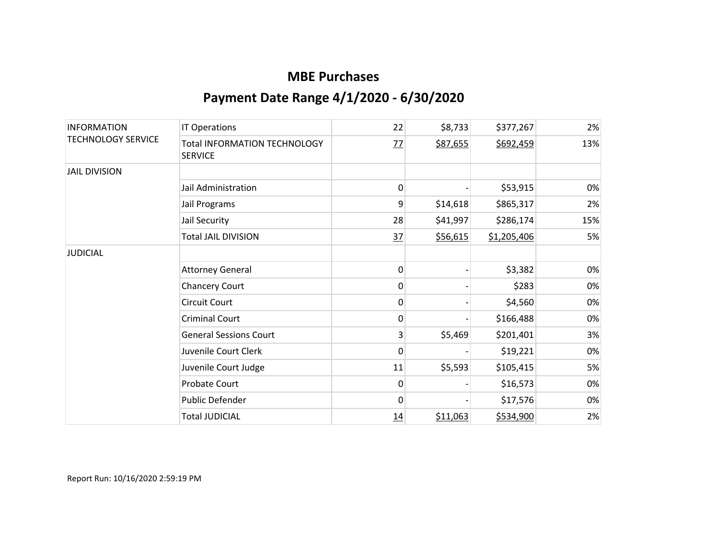| <b>INFORMATION</b><br><b>TECHNOLOGY SERVICE</b> | <b>IT Operations</b>                                  | 22 | \$8,733  | \$377,267   | 2%  |
|-------------------------------------------------|-------------------------------------------------------|----|----------|-------------|-----|
|                                                 | <b>Total INFORMATION TECHNOLOGY</b><br><b>SERVICE</b> | 77 | \$87,655 | \$692,459   | 13% |
| <b>JAIL DIVISION</b>                            |                                                       |    |          |             |     |
|                                                 | Jail Administration                                   | 0  |          | \$53,915    | 0%  |
|                                                 | Jail Programs                                         | 9  | \$14,618 | \$865,317   | 2%  |
|                                                 | Jail Security                                         | 28 | \$41,997 | \$286,174   | 15% |
|                                                 | <b>Total JAIL DIVISION</b>                            | 37 | \$56,615 | \$1,205,406 | 5%  |
| <b>JUDICIAL</b>                                 |                                                       |    |          |             |     |
|                                                 | <b>Attorney General</b>                               | 0  |          | \$3,382     | 0%  |
|                                                 | <b>Chancery Court</b>                                 | 0  |          | \$283       | 0%  |
|                                                 | <b>Circuit Court</b>                                  | 0  |          | \$4,560     | 0%  |
|                                                 | <b>Criminal Court</b>                                 | 0  |          | \$166,488   | 0%  |
|                                                 | <b>General Sessions Court</b>                         | 3  | \$5,469  | \$201,401   | 3%  |
|                                                 | Juvenile Court Clerk                                  | 0  |          | \$19,221    | 0%  |
|                                                 | Juvenile Court Judge                                  | 11 | \$5,593  | \$105,415   | 5%  |
|                                                 | Probate Court                                         | 0  |          | \$16,573    | 0%  |
|                                                 | Public Defender                                       | 0  |          | \$17,576    | 0%  |
|                                                 | <b>Total JUDICIAL</b>                                 | 14 | \$11,063 | \$534,900   | 2%  |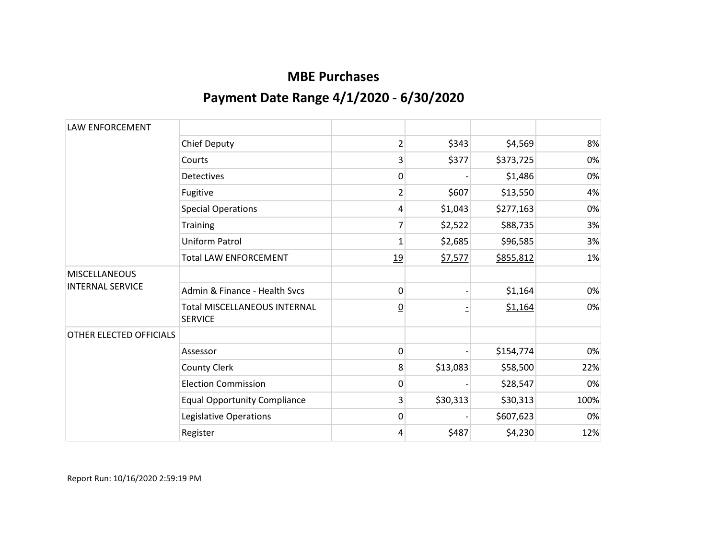| <b>LAW ENFORCEMENT</b>  |                                                       |                         |          |           |      |
|-------------------------|-------------------------------------------------------|-------------------------|----------|-----------|------|
|                         | <b>Chief Deputy</b>                                   | $\overline{\mathbf{c}}$ | \$343    | \$4,569   | 8%   |
|                         | Courts                                                | 3                       | \$377    | \$373,725 | 0%   |
|                         | <b>Detectives</b>                                     | 0                       |          | \$1,486   | 0%   |
|                         | Fugitive                                              | 2                       | \$607    | \$13,550  | 4%   |
|                         | <b>Special Operations</b>                             | 4                       | \$1,043  | \$277,163 | 0%   |
|                         | Training                                              | 7                       | \$2,522  | \$88,735  | 3%   |
|                         | <b>Uniform Patrol</b>                                 | 1                       | \$2,685  | \$96,585  | 3%   |
|                         | <b>Total LAW ENFORCEMENT</b>                          | 19                      | \$7,577  | \$855,812 | 1%   |
| <b>MISCELLANEOUS</b>    |                                                       |                         |          |           |      |
| <b>INTERNAL SERVICE</b> | Admin & Finance - Health Sycs                         | 0                       |          | \$1,164   | 0%   |
|                         | <b>Total MISCELLANEOUS INTERNAL</b><br><b>SERVICE</b> | $\overline{0}$          |          | \$1,164   | 0%   |
| OTHER ELECTED OFFICIALS |                                                       |                         |          |           |      |
|                         | Assessor                                              | 0                       |          | \$154,774 | 0%   |
|                         | County Clerk                                          | 8                       | \$13,083 | \$58,500  | 22%  |
|                         | <b>Election Commission</b>                            | 0                       |          | \$28,547  | 0%   |
|                         | <b>Equal Opportunity Compliance</b>                   | 3                       | \$30,313 | \$30,313  | 100% |
|                         | Legislative Operations                                | 0                       |          | \$607,623 | 0%   |
|                         | Register                                              | 4                       | \$487    | \$4,230   | 12%  |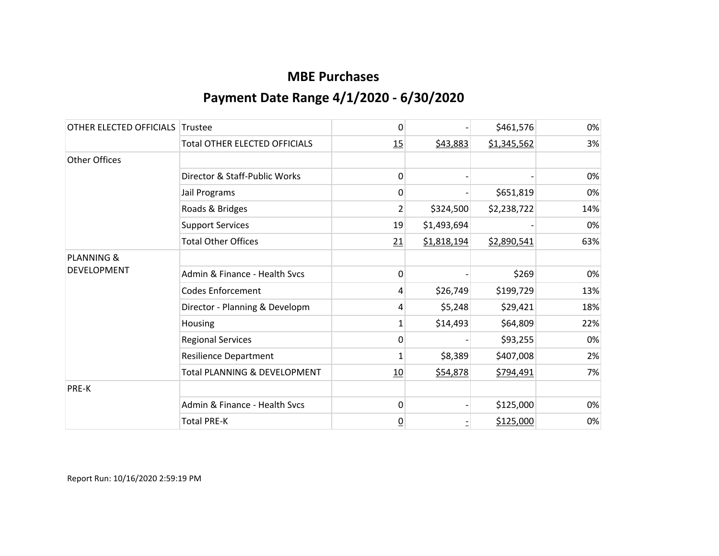| OTHER ELECTED OFFICIALS | Trustee                              | 0              |             | \$461,576   | 0%  |
|-------------------------|--------------------------------------|----------------|-------------|-------------|-----|
|                         | <b>Total OTHER ELECTED OFFICIALS</b> | 15             | \$43,883    | \$1,345,562 | 3%  |
| Other Offices           |                                      |                |             |             |     |
|                         | Director & Staff-Public Works        | 0              |             |             | 0%  |
|                         | Jail Programs                        | 0              |             | \$651,819   | 0%  |
|                         | Roads & Bridges                      | 2              | \$324,500   | \$2,238,722 | 14% |
|                         | <b>Support Services</b>              | 19             | \$1,493,694 |             | 0%  |
|                         | <b>Total Other Offices</b>           | 21             | \$1,818,194 | \$2,890,541 | 63% |
| <b>PLANNING &amp;</b>   |                                      |                |             |             |     |
| <b>DEVELOPMENT</b>      | Admin & Finance - Health Svcs        | 0              |             | \$269       | 0%  |
|                         | <b>Codes Enforcement</b>             | 4              | \$26,749    | \$199,729   | 13% |
|                         | Director - Planning & Developm       | 4              | \$5,248     | \$29,421    | 18% |
|                         | Housing                              | $\mathbf{1}$   | \$14,493    | \$64,809    | 22% |
|                         | <b>Regional Services</b>             | 0              |             | \$93,255    | 0%  |
|                         | <b>Resilience Department</b>         | 1              | \$8,389     | \$407,008   | 2%  |
|                         | Total PLANNING & DEVELOPMENT         | <u>10</u>      | \$54,878    | \$794,491   | 7%  |
| PRE-K                   |                                      |                |             |             |     |
|                         | Admin & Finance - Health Svcs        | 0              |             | \$125,000   | 0%  |
|                         | <b>Total PRE-K</b>                   | $\overline{0}$ |             | \$125,000   | 0%  |